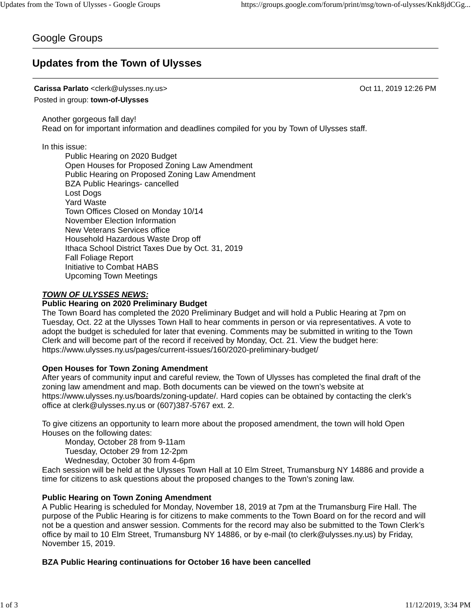# Google Groups

# **Updates from the Town of Ulysses**

# **Carissa Parlato** <clerk@ulysses.ny.us> Oct 11, 2019 12:26 PM

Posted in group: **town-of-Ulysses**

Another gorgeous fall day! Read on for important information and deadlines compiled for you by Town of Ulysses staff.

In this issue:

Public Hearing on 2020 Budget Open Houses for Proposed Zoning Law Amendment Public Hearing on Proposed Zoning Law Amendment BZA Public Hearings- cancelled Lost Dogs Yard Waste Town Offices Closed on Monday 10/14 November Election Information New Veterans Services office Household Hazardous Waste Drop off Ithaca School District Taxes Due by Oct. 31, 2019 Fall Foliage Report Initiative to Combat HABS Upcoming Town Meetings

# *TOWN OF ULYSSES NEWS:*

# **Public Hearing on 2020 Preliminary Budget**

The Town Board has completed the 2020 Preliminary Budget and will hold a Public Hearing at 7pm on Tuesday, Oct. 22 at the Ulysses Town Hall to hear comments in person or via representatives. A vote to adopt the budget is scheduled for later that evening. Comments may be submitted in writing to the Town Clerk and will become part of the record if received by Monday, Oct. 21. View the budget here: https://www.ulysses.ny.us/pages/current-issues/160/2020-preliminary-budget/

# **Open Houses for Town Zoning Amendment**

After years of community input and careful review, the Town of Ulysses has completed the final draft of the zoning law amendment and map. Both documents can be viewed on the town's website at https://www.ulysses.ny.us/boards/zoning-update/. Hard copies can be obtained by contacting the clerk's office at clerk@ulysses.ny.us or (607)387-5767 ext. 2.

To give citizens an opportunity to learn more about the proposed amendment, the town will hold Open Houses on the following dates:

Monday, October 28 from 9-11am

Tuesday, October 29 from 12-2pm

Wednesday, October 30 from 4-6pm

Each session will be held at the Ulysses Town Hall at 10 Elm Street, Trumansburg NY 14886 and provide a time for citizens to ask questions about the proposed changes to the Town's zoning law.

## **Public Hearing on Town Zoning Amendment**

A Public Hearing is scheduled for Monday, November 18, 2019 at 7pm at the Trumansburg Fire Hall. The purpose of the Public Hearing is for citizens to make comments to the Town Board on for the record and will not be a question and answer session. Comments for the record may also be submitted to the Town Clerk's office by mail to 10 Elm Street, Trumansburg NY 14886, or by e-mail (to clerk@ulysses.ny.us) by Friday, November 15, 2019.

# **BZA Public Hearing continuations for October 16 have been cancelled**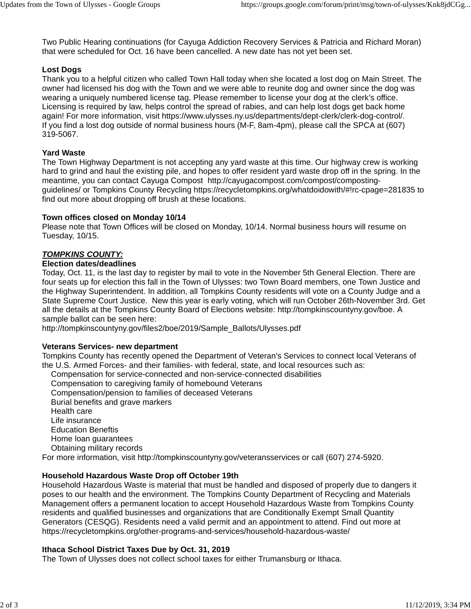Two Public Hearing continuations (for Cayuga Addiction Recovery Services & Patricia and Richard Moran) that were scheduled for Oct. 16 have been cancelled. A new date has not yet been set.

# **Lost Dogs**

Thank you to a helpful citizen who called Town Hall today when she located a lost dog on Main Street. The owner had licensed his dog with the Town and we were able to reunite dog and owner since the dog was wearing a uniquely numbered license tag. Please remember to license your dog at the clerk's office. Licensing is required by law, helps control the spread of rabies, and can help lost dogs get back home again! For more information, visit https://www.ulysses.ny.us/departments/dept-clerk/clerk-dog-control/. If you find a lost dog outside of normal business hours (M-F, 8am-4pm), please call the SPCA at (607) 319-5067.

## **Yard Waste**

The Town Highway Department is not accepting any yard waste at this time. Our highway crew is working hard to grind and haul the existing pile, and hopes to offer resident yard waste drop off in the spring. In the meantime, you can contact Cayuga Compost http://cayugacompost.com/compost/compostingguidelines/ or Tompkins County Recycling https://recycletompkins.org/whatdoidowith/#!rc-cpage=281835 to find out more about dropping off brush at these locations.

#### **Town offices closed on Monday 10/14**

Please note that Town Offices will be closed on Monday, 10/14. Normal business hours will resume on Tuesday, 10/15.

# *TOMPKINS COUNTY:*

#### **Election dates/deadlines**

Today, Oct. 11, is the last day to register by mail to vote in the November 5th General Election. There are four seats up for election this fall in the Town of Ulysses: two Town Board members, one Town Justice and the Highway Superintendent. In addition, all Tompkins County residents will vote on a County Judge and a State Supreme Court Justice. New this year is early voting, which will run October 26th-November 3rd. Get all the details at the Tompkins County Board of Elections website: http://tompkinscountyny.gov/boe. A sample ballot can be seen here:

http://tompkinscountyny.gov/files2/boe/2019/Sample\_Ballots/Ulysses.pdf

## **Veterans Services- new department**

Tompkins County has recently opened the Department of Veteran's Services to connect local Veterans of the U.S. Armed Forces- and their families- with federal, state, and local resources such as:

Compensation for service-connected and non-service-connected disabilities

Compensation to caregiving family of homebound Veterans

Compensation/pension to families of deceased Veterans

Burial benefits and grave markers

Health care

Life insurance

Education Beneftis

Home loan guarantees

Obtaining military records

For more information, visit http://tompkinscountyny.gov/veteransservices or call (607) 274-5920.

## **Household Hazardous Waste Drop off October 19th**

Household Hazardous Waste is material that must be handled and disposed of properly due to dangers it poses to our health and the environment. The Tompkins County Department of Recycling and Materials Management offers a permanent location to accept Household Hazardous Waste from Tompkins County residents and qualified businesses and organizations that are Conditionally Exempt Small Quantity Generators (CESQG). Residents need a valid permit and an appointment to attend. Find out more at https://recycletompkins.org/other-programs-and-services/household-hazardous-waste/

## **Ithaca School District Taxes Due by Oct. 31, 2019**

The Town of Ulysses does not collect school taxes for either Trumansburg or Ithaca.